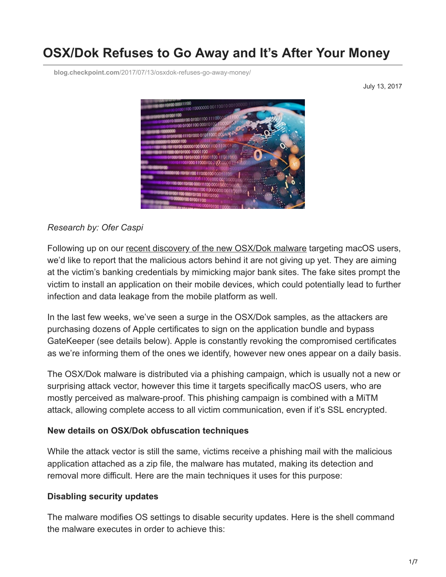# **OSX/Dok Refuses to Go Away and It's After Your Money**

**blog.checkpoint.com**[/2017/07/13/osxdok-refuses-go-away-money/](https://blog.checkpoint.com/2017/07/13/osxdok-refuses-go-away-money/)

July 13, 2017



#### *Research by: Ofer Caspi*

Following up on our [recent discovery of the new OSX/Dok malware](http://blog.checkpoint.com/2017/04/27/osx-malware-catching-wants-read-https-traffic/) targeting macOS users, we'd like to report that the malicious actors behind it are not giving up yet. They are aiming at the victim's banking credentials by mimicking major bank sites. The fake sites prompt the victim to install an application on their mobile devices, which could potentially lead to further infection and data leakage from the mobile platform as well.

In the last few weeks, we've seen a surge in the OSX/Dok samples, as the attackers are purchasing dozens of Apple certificates to sign on the application bundle and bypass GateKeeper (see details below). Apple is constantly revoking the compromised certificates as we're informing them of the ones we identify, however new ones appear on a daily basis.

The OSX/Dok malware is distributed via a phishing campaign, which is usually not a new or surprising attack vector, however this time it targets specifically macOS users, who are mostly perceived as malware-proof. This phishing campaign is combined with a MiTM attack, allowing complete access to all victim communication, even if it's SSL encrypted.

#### **New details on OSX/Dok obfuscation techniques**

While the attack vector is still the same, victims receive a phishing mail with the malicious application attached as a zip file, the malware has mutated, making its detection and removal more difficult. Here are the main techniques it uses for this purpose:

### **Disabling security updates**

The malware modifies OS settings to disable security updates. Here is the shell command the malware executes in order to achieve this: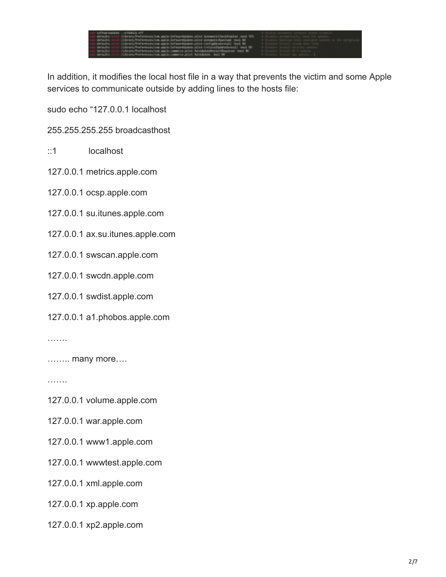| "The administrator and proportional states                                                                                                 | of Hinday actuactic software concern schedule           |
|--------------------------------------------------------------------------------------------------------------------------------------------|---------------------------------------------------------|
| and structurers of three free experiments and definerated as (201 Setupate Sectional And MS) at the factor administrative that for enters. |                                                         |
| cuts develops which children's features and controlled team distinct in the interest in localized in the UNI                               | it blushim implant maly suchable quicket in the backgro |
| colo detective orige (Library Restaurance) on and clother electric city Contiguouslected) (and Mi                                          | 10 Simpley Install restor drive (live.)                 |
| such developments (thereoften exception and claimer information of the Critical Defendants) (and Mr.                                       | of Husban Install experie points.                       |
| sub delayies on in climate Demonstrator and communicate heighteente testimated red to                                                      | 1 H Dissolving Dental (19) 6 spoketers                  |
| such different in additional distribution of the company of the company of the Automobile and the                                          | I Mandolas Social's and collector of                    |

In addition, it modifies the local host file in a way that prevents the victim and some Apple services to communicate outside by adding lines to the hosts file:

sudo echo "127.0.0.1 localhost

255.255.255.255 broadcasthost

::1 localhost

127.0.0.1 metrics.apple.com

127.0.0.1 ocsp.apple.com

127.0.0.1 su.itunes.apple.com

127.0.0.1 ax.su.itunes.apple.com

127.0.0.1 swscan.apple.com

127.0.0.1 swcdn.apple.com

127.0.0.1 swdist.apple.com

127.0.0.1 a1.phobos.apple.com

………

…….. many more….

………

127.0.0.1 volume.apple.com

127.0.0.1 war.apple.com

127.0.0.1 www1.apple.com

127.0.0.1 wwwtest.apple.com

127.0.0.1 xml.apple.com

127.0.0.1 xp.apple.com

127.0.0.1 xp2.apple.com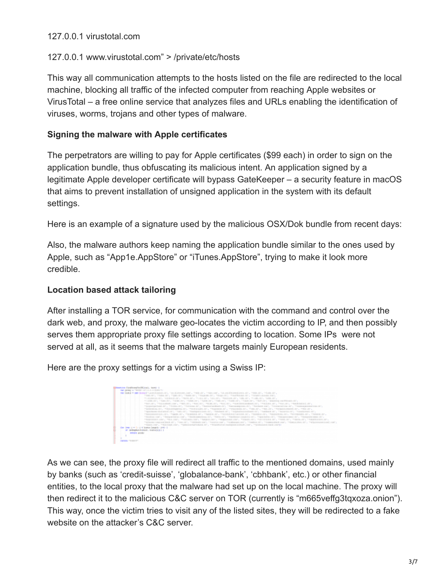### 127.0.0.1 virustotal.com

#### 127.0.0.1 www.virustotal.com" > /private/etc/hosts

This way all communication attempts to the hosts listed on the file are redirected to the local machine, blocking all traffic of the infected computer from reaching Apple websites or VirusTotal – a free online service that analyzes files and URLs enabling the identification of viruses, worms, trojans and other types of malware.

### **Signing the malware with Apple certificates**

The perpetrators are willing to pay for Apple certificates (\$99 each) in order to sign on the application bundle, thus obfuscating its malicious intent. An application signed by a legitimate Apple developer certificate will bypass GateKeeper – a security feature in macOS that aims to prevent installation of unsigned application in the system with its default settings.

Here is an example of a signature used by the malicious OSX/Dok bundle from recent days:

Also, the malware authors keep naming the application bundle similar to the ones used by Apple, such as "App1e.AppStore" or "iTunes.AppStore", trying to make it look more credible.

### **Location based attack tailoring**

After installing a TOR service, for communication with the command and control over the dark web, and proxy, the malware geo-locates the victim according to IP, and then possibly serves them appropriate proxy file settings according to location. Some IPs were not served at all, as it seems that the malware targets mainly European residents.

Here are the proxy settings for a victim using a Swiss IP:

| and into Fanilly angles (M. Jon), Joseph J.<br>THAT AND MANY AS TREATED IN FULL LINE IS AN OUTLINE TO<br>MAY BEAR AT HAND BETWEEN FOR A RESIDENCE AND COMPANY CONTROLLERS. THE CONTROLLERS AND CONTROLLERS AND COMPANY CONTROLLERS.<br>TERMIT, THE AT, TERMIT, TERMIT, THERE, AT, TERMIT, TERMINE BY, TERMILEGELED,                                                                                                                                                                                                                                                                                                                                                                                          |
|--------------------------------------------------------------------------------------------------------------------------------------------------------------------------------------------------------------------------------------------------------------------------------------------------------------------------------------------------------------------------------------------------------------------------------------------------------------------------------------------------------------------------------------------------------------------------------------------------------------------------------------------------------------------------------------------------------------|
| THORSES THREE THREES THREES THREE TO RESIDE THREES THREES THREES TREES THREE CONTRACTS.<br>中国的人体与"中国企业国际公司部"。中国的人体与"中国公司人、中国国人体人、中国化学的人、中国国际和国家国际公司人、中国国际公司人、中国公司部、中国国家国际公司人体与<br>Taypolacked.dd.df., Thillis-df., Thillis, df., Taxistanism 45, Theoretical Co., Thillis, Life, Thillis at J., Taxis against ex-AT,<br>中国的新闻公司为一个新的地方都被加强人员为一个新来的公司的人员为一个新的新闻系统的一个"中国公司的人"中国人员的人"中国公司的人"中国的新闻系统的人员的人。中国公司的人<br>Tapedayer-Balladolf (41), Thais (45), "Radigatics (45), "Radianal (41), Thirdinghost (45), The Midwis (45), Thomas (45), Thomas (45), The Midwis (45),                                                                                                                                       |
| 中国共和国共和国共产科、中国国家、国内、中国国家联系、国内、中国国家联系和国家联系和国家、国家国家联合公司、中国国家联合公司、中国国家联合部、国家联合国、国家、中国国家联合部、<br>Vicedor and Chargonizing and Characteristics sit, "Menodity Charlinge (exists of Characterist), Theoretical Characteristics of Characteristics of Characteristics<br>TENNISSI ANY, TELLIN, TOSHELLIN, TENNISSI, TENNISSI ANY, TENNISSI, TENNISSI, PYOLOG, THESENI, TENNISSI, IP.<br>Training and built all a Transity Training and Chemica and Antonios and Antonios and Antonios and Antonios and Antonios and Antonios and Antonios and Antonios and Antonios and Antonios and Antonios and Antonios and Antonio<br>"SALE-THE CHARGE FOR CHARGES PERSONAL PROPERTY INTERFERSION AND COMPANY PERSONAL RESIDENCE |
| les been a wells a 4 lender-limptic project<br>27 SERGESTERS 2012 - 111 81 8 5 5 1 1<br>product growing<br><b>CASTING TRIBUTES</b>                                                                                                                                                                                                                                                                                                                                                                                                                                                                                                                                                                           |

As we can see, the proxy file will redirect all traffic to the mentioned domains, used mainly by banks (such as 'credit-suisse', 'globalance-bank', 'cbhbank', etc.) or other financial entities, to the local proxy that the malware had set up on the local machine. The proxy will then redirect it to the malicious C&C server on TOR (currently is "m665veffg3tqxoza.onion"). This way, once the victim tries to visit any of the listed sites, they will be redirected to a fake website on the attacker's C&C server.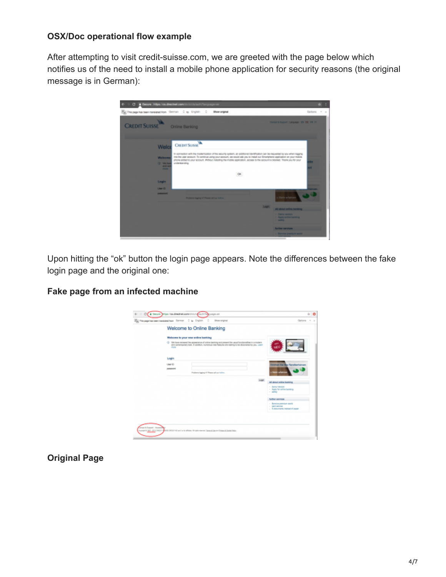#### **OSX/Doc operational flow example**

After attempting to visit credit-suisse.com, we are greeted with the page below which notifies us of the need to install a mobile phone application for security reasons (the original message is in German):



Upon hitting the "ok" button the login page appears. Note the differences between the fake login page and the original one:

### **Fake page from an infected machine**

|                        |                                                              | CL & SHOP STOL/VA directed control/L CAU/To complete                                                                                                                                                        | $\sim$ 0                                                                     |
|------------------------|--------------------------------------------------------------|-------------------------------------------------------------------------------------------------------------------------------------------------------------------------------------------------------------|------------------------------------------------------------------------------|
|                        | The This page has been translated box Corritor C as Craftish | ÷<br><b>Show original</b>                                                                                                                                                                                   | Options = x                                                                  |
|                        |                                                              | Welcome to Online Banking                                                                                                                                                                                   |                                                                              |
|                        |                                                              | Welcome to your new enfine banking                                                                                                                                                                          |                                                                              |
|                        | <b>COLOR</b>                                                 | C VA have remend the appearance of unline berking and present fire usual functionalizes in a modern<br>and somersporary look. If addition, numerous new features are waiting to be discovered by you, Learn |                                                                              |
|                        | Login                                                        |                                                                                                                                                                                                             |                                                                              |
|                        | Use till                                                     |                                                                                                                                                                                                             | <b>Edulings Rig Bay Rendictiveness</b>                                       |
|                        | newarrs                                                      | Postere typiquid Fears of printing.                                                                                                                                                                         | <b>Mate artainse</b>                                                         |
|                        |                                                              |                                                                                                                                                                                                             |                                                                              |
|                        |                                                              | Light.                                                                                                                                                                                                      | All about sning tranking                                                     |
|                        |                                                              |                                                                                                                                                                                                             | - Deno Verson<br>- Apply for prime barrenge<br>$-$ and the $-$               |
|                        |                                                              |                                                                                                                                                                                                             | <b>Sollier candidat</b>                                                      |
|                        |                                                              |                                                                                                                                                                                                             | - Bernius premium gestal<br>- seri service<br>- Euteruments instead of paper |
|                        |                                                              |                                                                                                                                                                                                             |                                                                              |
|                        |                                                              |                                                                                                                                                                                                             |                                                                              |
| and it Eugenet 1 Paren |                                                              |                                                                                                                                                                                                             |                                                                              |
|                        |                                                              | with the city there were controlled with a state. More need familiar writered familiar.                                                                                                                     |                                                                              |
|                        |                                                              |                                                                                                                                                                                                             |                                                                              |

**Original Page**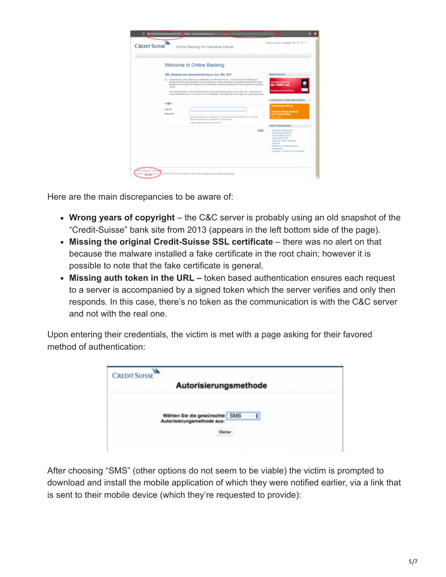| Welcome to Online Banking                                                                                                                                                                                                                                                                                                                                                                                                                                                                                                                          |                                                                                                                                                                                                                                  |
|----------------------------------------------------------------------------------------------------------------------------------------------------------------------------------------------------------------------------------------------------------------------------------------------------------------------------------------------------------------------------------------------------------------------------------------------------------------------------------------------------------------------------------------------------|----------------------------------------------------------------------------------------------------------------------------------------------------------------------------------------------------------------------------------|
| UR1, directnat.com decommissioning on July 12th, 2017                                                                                                                                                                                                                                                                                                                                                                                                                                                                                              | <b>Motivian Purpment</b>                                                                                                                                                                                                         |
| (2) Coast Hutuna Christs Banking is relatively in 20th anticipracy  as the first Online Banking in<br>Earlywized the are delighted to announce that us solice releasing a completely remarkeled Online<br>Earning with exciting new features and a refinished, intalline eigentence for pur prince and socioliste<br><b>CHIE</b><br>The international webman (URL) directnations willing decommissionation Ash 1291, 2017, and then cost<br>will be netiremed to me credit saless corr homepage. We lindly ask you to login via credit saless con- | Permanent cotable starts.<br><b>My TWINT CAR</b><br><b>Bread and Search Ave</b>                                                                                                                                                  |
| Login                                                                                                                                                                                                                                                                                                                                                                                                                                                                                                                                              | Cradit: Buleau's New Crates Banking                                                                                                                                                                                              |
| User-D.                                                                                                                                                                                                                                                                                                                                                                                                                                                                                                                                            | Credit Suites Direct.                                                                                                                                                                                                            |
| Password<br>New your highlight your parameter? This right depart is had painted in fact, The hand<br>a conserve and the serving simple among a promine many.                                                                                                                                                                                                                                                                                                                                                                                       | The New Dollra Banking<br><b>San Philappine Climates</b><br>To tast so-                                                                                                                                                          |
| sign entered "Texas of he finite-                                                                                                                                                                                                                                                                                                                                                                                                                                                                                                                  | <b><i>Elenal Online Banking</i></b>                                                                                                                                                                                              |
|                                                                                                                                                                                                                                                                                                                                                                                                                                                                                                                                                    | today.<br>- Paynett Transactions<br>- Securetage Words<br>- Securetings Selfuly<br>- Secured law McL<br>- Apply for Orabine Burnland<br>- Incenty<br>- McGorston, Varcanto Shap<br>- newbarries<br>- George - mile to Edisonwith |

Here are the main discrepancies to be aware of:

- **Wrong years of copyright**  the C&C server is probably using an old snapshot of the "Credit-Suisse" bank site from 2013 (appears in the left bottom side of the page).
- **Missing the original Credit-Suisse SSL certificate** there was no alert on that because the malware installed a fake certificate in the root chain; however it is possible to note that the fake certificate is general.
- **Missing auth token in the URL** token based authentication ensures each request to a server is accompanied by a signed token which the server verifies and only then responds. In this case, there's no token as the communication is with the C&C server and not with the real one.

Upon entering their credentials, the victim is met with a page asking for their favored method of authentication:

| CREDIT SUISSE                                                                              |  |
|--------------------------------------------------------------------------------------------|--|
| Autorisierungsmethode                                                                      |  |
| Wählen Sie die gewünschte SMS<br>$\ddot{r}$<br>Autorisierungsmethode aus:<br><b>Weiter</b> |  |

After choosing "SMS" (other options do not seem to be viable) the victim is prompted to download and install the mobile application of which they were notified earlier, via a link that is sent to their mobile device (which they're requested to provide):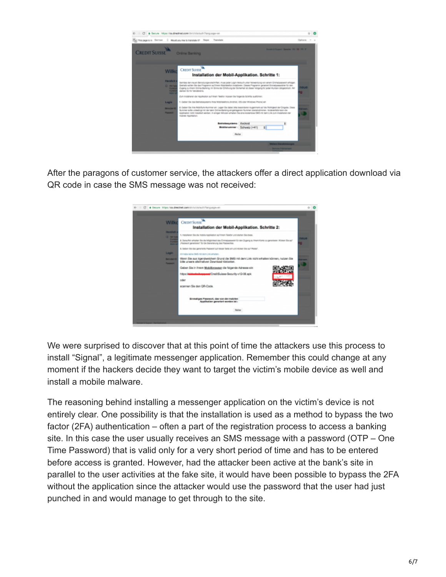

After the paragons of customer service, the attackers offer a direct application download via QR code in case the SMS message was not received:



We were surprised to discover that at this point of time the attackers use this process to install "Signal", a legitimate messenger application. Remember this could change at any moment if the hackers decide they want to target the victim's mobile device as well and install a mobile malware.

The reasoning behind installing a messenger application on the victim's device is not entirely clear. One possibility is that the installation is used as a method to bypass the two factor (2FA) authentication – often a part of the registration process to access a banking site. In this case the user usually receives an SMS message with a password (OTP – One Time Password) that is valid only for a very short period of time and has to be entered before access is granted. However, had the attacker been active at the bank's site in parallel to the user activities at the fake site, it would have been possible to bypass the 2FA without the application since the attacker would use the password that the user had just punched in and would manage to get through to the site.